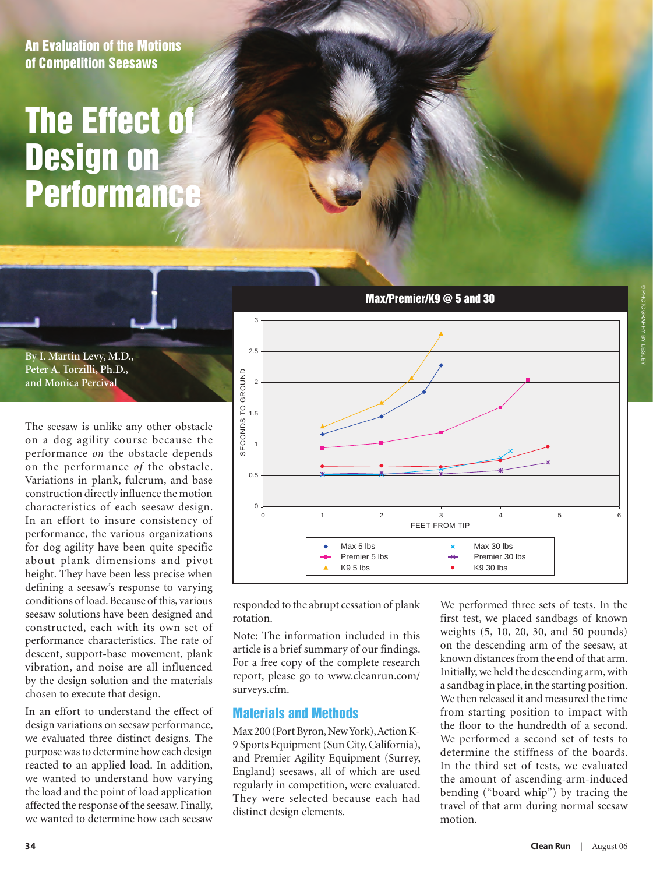An Evaluation of the Motions of Competition Seesaws

## **The Effect of** Design on **Performance**

**By I. Martin Levy, M.D., Peter A. Torzilli, Ph.D., and Monica Percival**

The seesaw is unlike any other obstacle on a dog agility course because the performance *on* the obstacle depends on the performance *of* the obstacle. Variations in plank, fulcrum, and base construction directly influence the motion characteristics of each seesaw design. In an effort to insure consistency of performance, the various organizations for dog agility have been quite specific about plank dimensions and pivot height. They have been less precise when defining a seesaw's response to varying conditions of load. Because of this, various seesaw solutions have been designed and constructed, each with its own set of performance characteristics. The rate of descent, support-base movement, plank vibration, and noise are all influenced by the design solution and the materials chosen to execute that design.

In an effort to understand the effect of design variations on seesaw performance, we evaluated three distinct designs. The purpose was to determine how each design reacted to an applied load. In addition, we wanted to understand how varying the load and the point of load application affected the response of the seesaw. Finally, we wanted to determine how each seesaw



responded to the abrupt cessation of plank rotation.

Note: The information included in this article is a brief summary of our findings. For a free copy of the complete research report, please go to www.cleanrun.com/ surveys.cfm.

#### Materials and Methods

Max 200 (Port Byron, New York), Action K-9 Sports Equipment (Sun City, California), and Premier Agility Equipment (Surrey, England) seesaws, all of which are used regularly in competition, were evaluated. They were selected because each had distinct design elements.

We performed three sets of tests. In the first test, we placed sandbags of known weights  $(5, 10, 20, 30, \text{ and } 50 \text{ pounds})$ on the descending arm of the seesaw, at known distances from the end of that arm. Initially, we held the descending arm, with a sandbag in place, in the starting position. We then released it and measured the time from starting position to impact with the floor to the hundredth of a second. We performed a second set of tests to determine the stiffness of the boards. In the third set of tests, we evaluated the amount of ascending-arm-induced bending ("board whip") by tracing the travel of that arm during normal seesaw motion.  $(2, 10,$